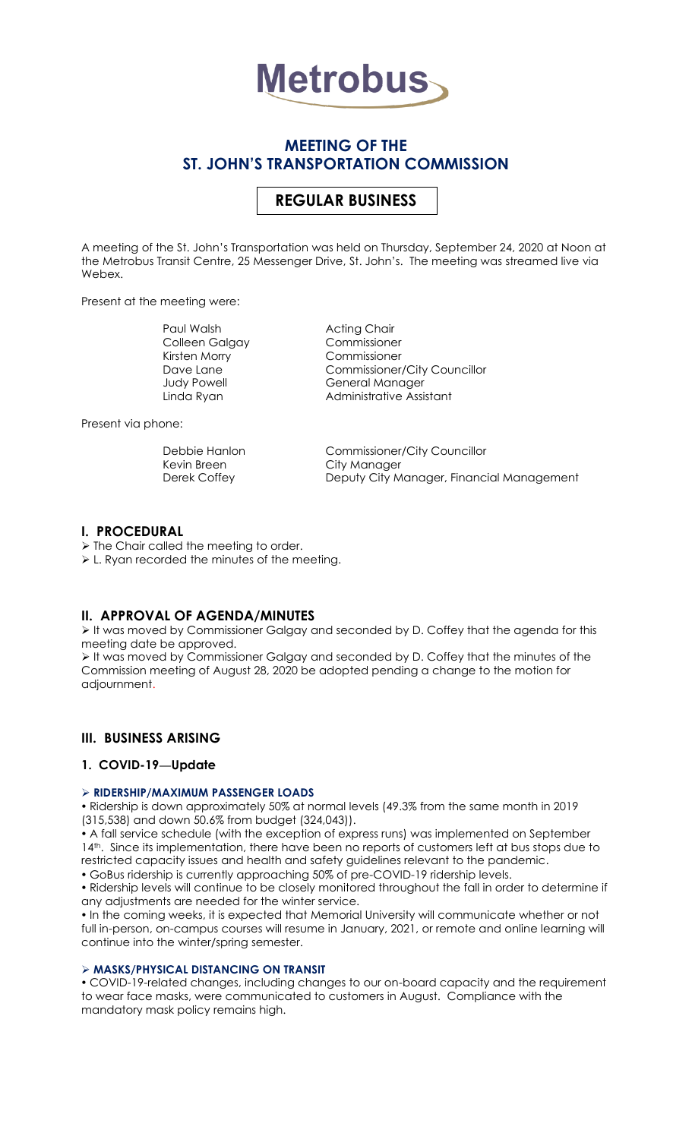

# **MEETING OF THE ST. JOHN'S TRANSPORTATION COMMISSION**

# **REGULAR BUSINESS**

A meeting of the St. John's Transportation was held on Thursday, September 24, 2020 at Noon at the Metrobus Transit Centre, 25 Messenger Drive, St. John's. The meeting was streamed live via Webex.

Present at the meeting were:

Paul Walsh **Acting Chair** Colleen Galgay Commissioner Kirsten Morry Commissioner

Commissioner/City Councillor Judy Powell **General Manager** Linda Ryan **Administrative Assistant** 

Present via phone:

Debbie Hanlon Commissioner/City Councillor City Manager Derek Coffey **Deputy City Manager, Financial Management** 

### **I. PROCEDURAL**

➢ The Chair called the meeting to order.

➢ L. Ryan recorded the minutes of the meeting.

# **II. APPROVAL OF AGENDA/MINUTES**

➢ It was moved by Commissioner Galgay and seconded by D. Coffey that the agenda for this meeting date be approved.

➢ It was moved by Commissioner Galgay and seconded by D. Coffey that the minutes of the Commission meeting of August 28, 2020 be adopted pending a change to the motion for adjournment.

# **III. BUSINESS ARISING**

# **1. COVID-19—Update**

### ➢ **RIDERSHIP/MAXIMUM PASSENGER LOADS**

 Ridership is down approximately 50% at normal levels (49.3% from the same month in 2019 (315,538) and down 50.6% from budget (324,043)).

 A fall service schedule (with the exception of express runs) was implemented on September 14<sup>th</sup>. Since its implementation, there have been no reports of customers left at bus stops due to restricted capacity issues and health and safety guidelines relevant to the pandemic. GoBus ridership is currently approaching 50% of pre-COVID-19 ridership levels.

 Ridership levels will continue to be closely monitored throughout the fall in order to determine if any adjustments are needed for the winter service.

• In the coming weeks, it is expected that Memorial University will communicate whether or not full in-person, on-campus courses will resume in January, 2021, or remote and online learning will continue into the winter/spring semester.

### ➢ **MASKS/PHYSICAL DISTANCING ON TRANSIT**

 COVID-19-related changes, including changes to our on-board capacity and the requirement to wear face masks, were communicated to customers in August. Compliance with the mandatory mask policy remains high.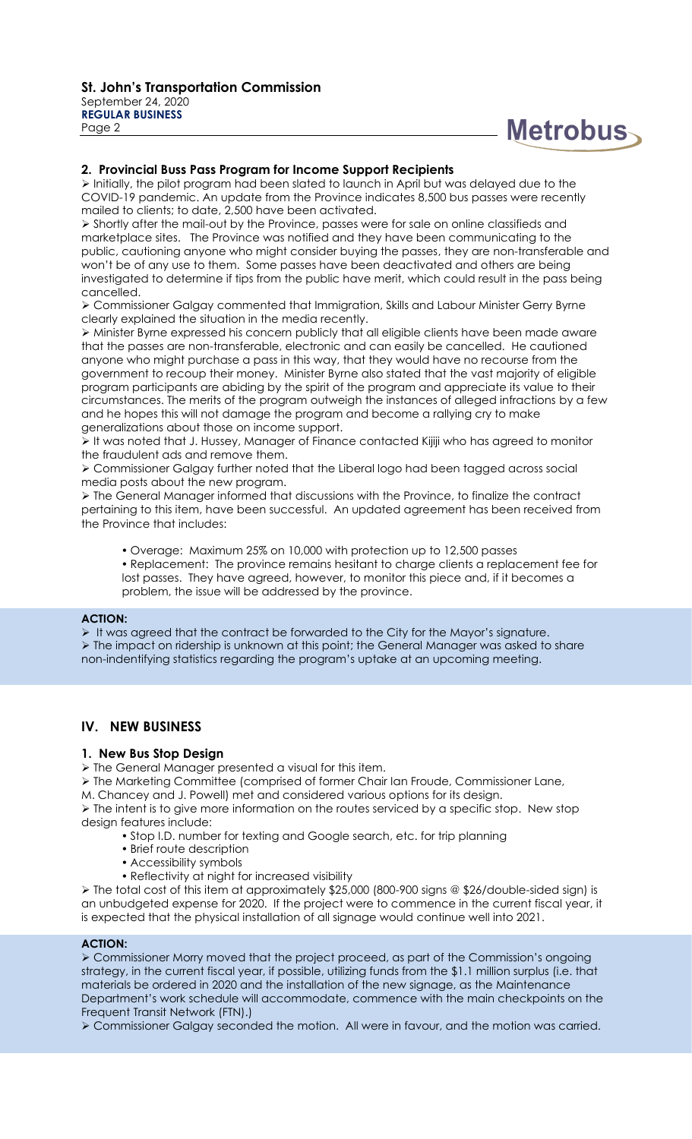

### **2. Provincial Buss Pass Program for Income Support Recipients**

➢ Initially, the pilot program had been slated to launch in April but was delayed due to the COVID-19 pandemic. An update from the Province indicates 8,500 bus passes were recently mailed to clients; to date, 2,500 have been activated.

➢ Shortly after the mail-out by the Province, passes were for sale on online classifieds and marketplace sites. The Province was notified and they have been communicating to the public, cautioning anyone who might consider buying the passes, they are non-transferable and won't be of any use to them. Some passes have been deactivated and others are being investigated to determine if tips from the public have merit, which could result in the pass being cancelled.

➢ Commissioner Galgay commented that Immigration, Skills and Labour Minister Gerry Byrne clearly explained the situation in the media recently.

➢ Minister Byrne expressed his concern publicly that all eligible clients have been made aware that the passes are non-transferable, electronic and can easily be cancelled. He cautioned anyone who might purchase a pass in this way, that they would have no recourse from the government to recoup their money. Minister Byrne also stated that the vast majority of eligible program participants are abiding by the spirit of the program and appreciate its value to their circumstances. The merits of the program outweigh the instances of alleged infractions by a few and he hopes this will not damage the program and become a rallying cry to make generalizations about those on income support.

➢ It was noted that J. Hussey, Manager of Finance contacted Kijiji who has agreed to monitor the fraudulent ads and remove them.

➢ Commissioner Galgay further noted that the Liberal logo had been tagged across social media posts about the new program.

➢ The General Manager informed that discussions with the Province, to finalize the contract pertaining to this item, have been successful. An updated agreement has been received from the Province that includes:

- Overage: Maximum 25% on 10,000 with protection up to 12,500 passes
- Replacement: The province remains hesitant to charge clients a replacement fee for lost passes. They have agreed, however, to monitor this piece and, if it becomes a problem, the issue will be addressed by the province.

#### **ACTION:**

➢ It was agreed that the contract be forwarded to the City for the Mayor's signature. ➢ The impact on ridership is unknown at this point; the General Manager was asked to share non-indentifying statistics regarding the program's uptake at an upcoming meeting.

# **IV. NEW BUSINESS**

### **1. New Bus Stop Design**

➢ The General Manager presented a visual for this item.

- ➢ The Marketing Committee (comprised of former Chair Ian Froude, Commissioner Lane,
- M. Chancey and J. Powell) met and considered various options for its design.

➢ The intent is to give more information on the routes serviced by a specific stop. New stop design features include:

- Stop I.D. number for texting and Google search, etc. for trip planning
- Brief route description
- Accessibility symbols
- Reflectivity at night for increased visibility

➢ The total cost of this item at approximately \$25,000 (800-900 signs @ \$26/double-sided sign) is an unbudgeted expense for 2020. If the project were to commence in the current fiscal year, it is expected that the physical installation of all signage would continue well into 2021.

### **ACTION:**

➢ Commissioner Morry moved that the project proceed, as part of the Commission's ongoing strategy, in the current fiscal year, if possible, utilizing funds from the \$1.1 million surplus (i.e. that materials be ordered in 2020 and the installation of the new signage, as the Maintenance Department's work schedule will accommodate, commence with the main checkpoints on the Frequent Transit Network (FTN).)

➢ Commissioner Galgay seconded the motion. All were in favour, and the motion was carried.